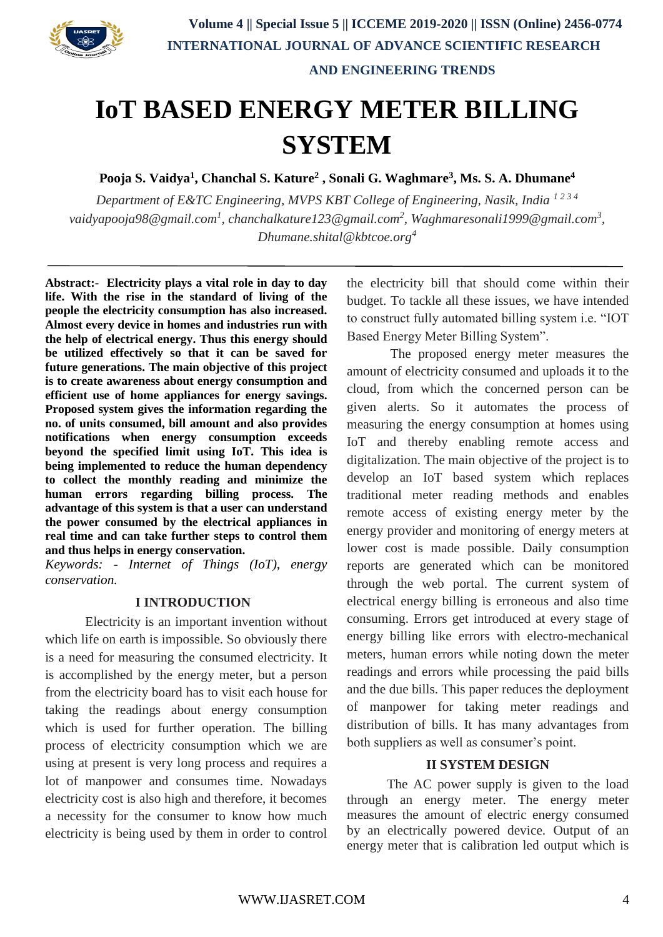

# **IoT BASED ENERGY METER BILLING SYSTEM**

**Pooja S. Vaidya<sup>1</sup> , Chanchal S. Kature<sup>2</sup> , Sonali G. Waghmare<sup>3</sup> , Ms. S. A. Dhumane<sup>4</sup>**

*Department of E&TC Engineering, MVPS KBT College of Engineering, Nasik, India*<sup>1234</sup> *vaidyapooja98@gmail.com<sup>1</sup> , chanchalkature123@gmail.com<sup>2</sup> , Waghmaresonali1999@gmail.com<sup>3</sup> , Dhumane.shital@kbtcoe.org<sup>4</sup>*

**Abstract:- Electricity plays a vital role in day to day life. With the rise in the standard of living of the people the electricity consumption has also increased. Almost every device in homes and industries run with the help of electrical energy. Thus this energy should be utilized effectively so that it can be saved for future generations. The main objective of this project is to create awareness about energy consumption and efficient use of home appliances for energy savings. Proposed system gives the information regarding the no. of units consumed, bill amount and also provides notifications when energy consumption exceeds beyond the specified limit using IoT. This idea is being implemented to reduce the human dependency to collect the monthly reading and minimize the human errors regarding billing process. The advantage of this system is that a user can understand the power consumed by the electrical appliances in real time and can take further steps to control them and thus helps in energy conservation.**

*Keywords: - Internet of Things (IoT), energy conservation.*

# **I INTRODUCTION**

Electricity is an important invention without which life on earth is impossible. So obviously there is a need for measuring the consumed electricity. It is accomplished by the energy meter, but a person from the electricity board has to visit each house for taking the readings about energy consumption which is used for further operation. The billing process of electricity consumption which we are using at present is very long process and requires a lot of manpower and consumes time. Nowadays electricity cost is also high and therefore, it becomes a necessity for the consumer to know how much electricity is being used by them in order to control the electricity bill that should come within their budget. To tackle all these issues, we have intended to construct fully automated billing system i.e. "IOT Based Energy Meter Billing System".

The proposed energy meter measures the amount of electricity consumed and uploads it to the cloud, from which the concerned person can be given alerts. So it automates the process of measuring the energy consumption at homes using IoT and thereby enabling remote access and digitalization. The main objective of the project is to develop an IoT based system which replaces traditional meter reading methods and enables remote access of existing energy meter by the energy provider and monitoring of energy meters at lower cost is made possible. Daily consumption reports are generated which can be monitored through the web portal. The current system of electrical energy billing is erroneous and also time consuming. Errors get introduced at every stage of energy billing like errors with electro-mechanical meters, human errors while noting down the meter readings and errors while processing the paid bills and the due bills. This paper reduces the deployment of manpower for taking meter readings and distribution of bills. It has many advantages from both suppliers as well as consumer's point.

## **II SYSTEM DESIGN**

The AC power supply is given to the load through an energy meter. The energy meter measures the amount of electric energy consumed by an electrically powered device. Output of an energy meter that is calibration led output which is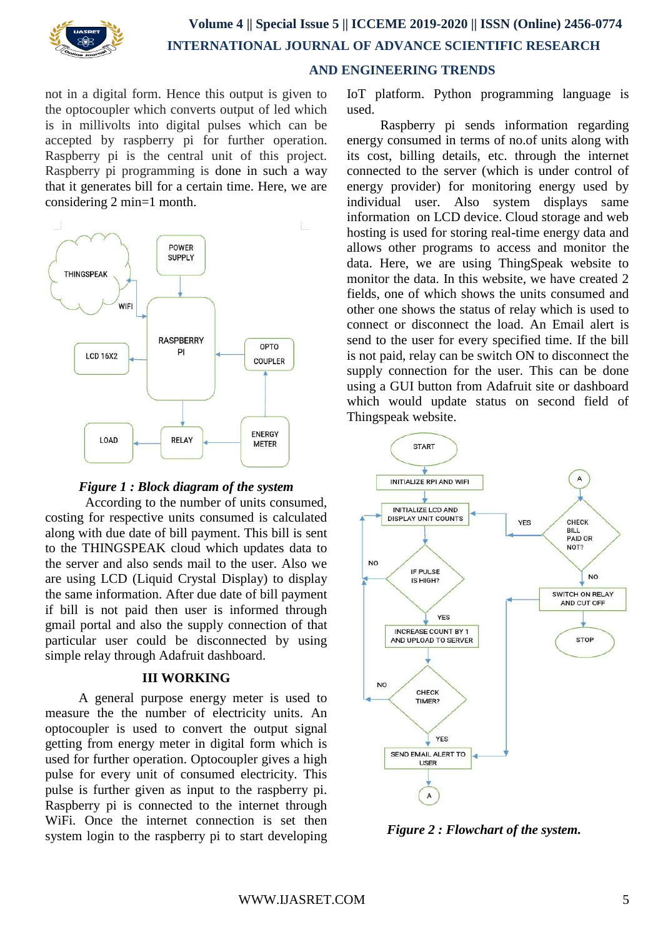

not in a digital form. Hence this output is given to the optocoupler which converts output of led which is in millivolts into digital pulses which can be accepted by raspberry pi for further operation. Raspberry pi is the central unit of this project. Raspberry pi programming is done in such a way that it generates bill for a certain time. Here, we are considering 2 min=1 month.



# *Figure 1 : Block diagram of the system*

According to the number of units consumed, costing for respective units consumed is calculated along with due date of bill payment. This bill is sent to the THINGSPEAK cloud which updates data to the server and also sends mail to the user. Also we are using LCD (Liquid Crystal Display) to display the same information. After due date of bill payment if bill is not paid then user is informed through gmail portal and also the supply connection of that particular user could be disconnected by using simple relay through Adafruit dashboard.

#### **III WORKING**

 A general purpose energy meter is used to measure the the number of electricity units. An optocoupler is used to convert the output signal getting from energy meter in digital form which is used for further operation. Optocoupler gives a high pulse for every unit of consumed electricity. This pulse is further given as input to the raspberry pi. Raspberry pi is connected to the internet through WiFi. Once the internet connection is set then system login to the raspberry pi to start developing IoT platform. Python programming language is used.

 Raspberry pi sends information regarding energy consumed in terms of no.of units along with its cost, billing details, etc. through the internet connected to the server (which is under control of energy provider) for monitoring energy used by individual user. Also system displays same information on LCD device. Cloud storage and web hosting is used for storing real-time energy data and allows other programs to access and monitor the data. Here, we are using ThingSpeak website to monitor the data. In this website, we have created 2 fields, one of which shows the units consumed and other one shows the status of relay which is used to connect or disconnect the load. An Email alert is send to the user for every specified time. If the bill is not paid, relay can be switch ON to disconnect the supply connection for the user. This can be done using a GUI button from Adafruit site or dashboard which would update status on second field of Thingspeak website.



 *Figure 2 : Flowchart of the system.*